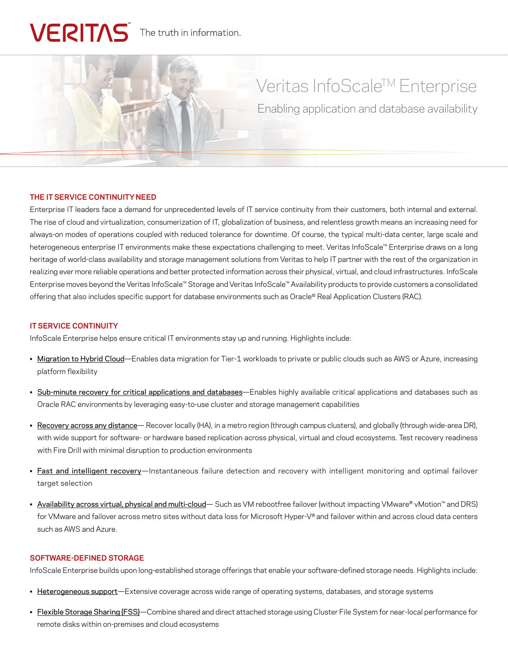# VERITAS The truth in information.

# Veritas InfoScale™ Enterprise

Enabling application and database availability

# **THE IT SERVICE CONTINUITY NEED**

Enterprise IT leaders face a demand for unprecedented levels of IT service continuity from their customers, both internal and external. The rise of cloud and virtualization, consumerization of IT, globalization of business, and relentless growth means an increasing need for always-on modes of operations coupled with reduced tolerance for downtime. Of course, the typical multi-data center, large scale and heterogeneous enterprise IT environments make these expectations challenging to meet. Veritas InfoScale™ Enterprise draws on a long heritage of world-class availability and storage management solutions from Veritas to help IT partner with the rest of the organization in realizing ever more reliable operations and better protected information across their physical, virtual, and cloud infrastructures. InfoScale Enterprise moves beyond the Veritas InfoScale™ Storage and Veritas InfoScale™ Availability products to provide customers a consolidated offering that also includes specific support for database environments such as Oracle® Real Application Clusters (RAC).

#### **IT SERVICE CONTINUITY**

InfoScale Enterprise helps ensure critical IT environments stay up and running. Highlights include:

- Migration to Hybrid Cloud—Enables data migration for Tier-1 workloads to private or public clouds such as AWS or Azure, increasing platform flexibility
- Sub-minute recovery for critical applications and databases-Enables highly available critical applications and databases such as Oracle RAC environments by leveraging easy-to-use cluster and storage management capabilities
- Recovery across any distance— Recover locally (HA), in a metro region (through campus clusters), and globally (through wide-area DR), with wide support for software- or hardware based replication across physical, virtual and cloud ecosystems. Test recovery readiness with Fire Drill with minimal disruption to production environments
- Fast and intelligent recovery—Instantaneous failure detection and recovery with intelligent monitoring and optimal failover target selection
- Availability across virtual, physical and multi-cloud– Such as VM rebootfree failover (without impacting VMware® vMotion™ and DRS) for VMware and failover across metro sites without data loss for Microsoft Hyper-V® and failover within and across cloud data centers such as AWS and Azure.

# **SOFTWARE-DEFINED STORAGE**

InfoScale Enterprise builds upon long-established storage offerings that enable your software-defined storage needs. Highlights include:

- Heterogeneous support—Extensive coverage across wide range of operating systems, databases, and storage systems
- Flexible Storage Sharing (FSS)—Combine shared and direct attached storage using Cluster File System for near-local performance for remote disks within on-premises and cloud ecosystems